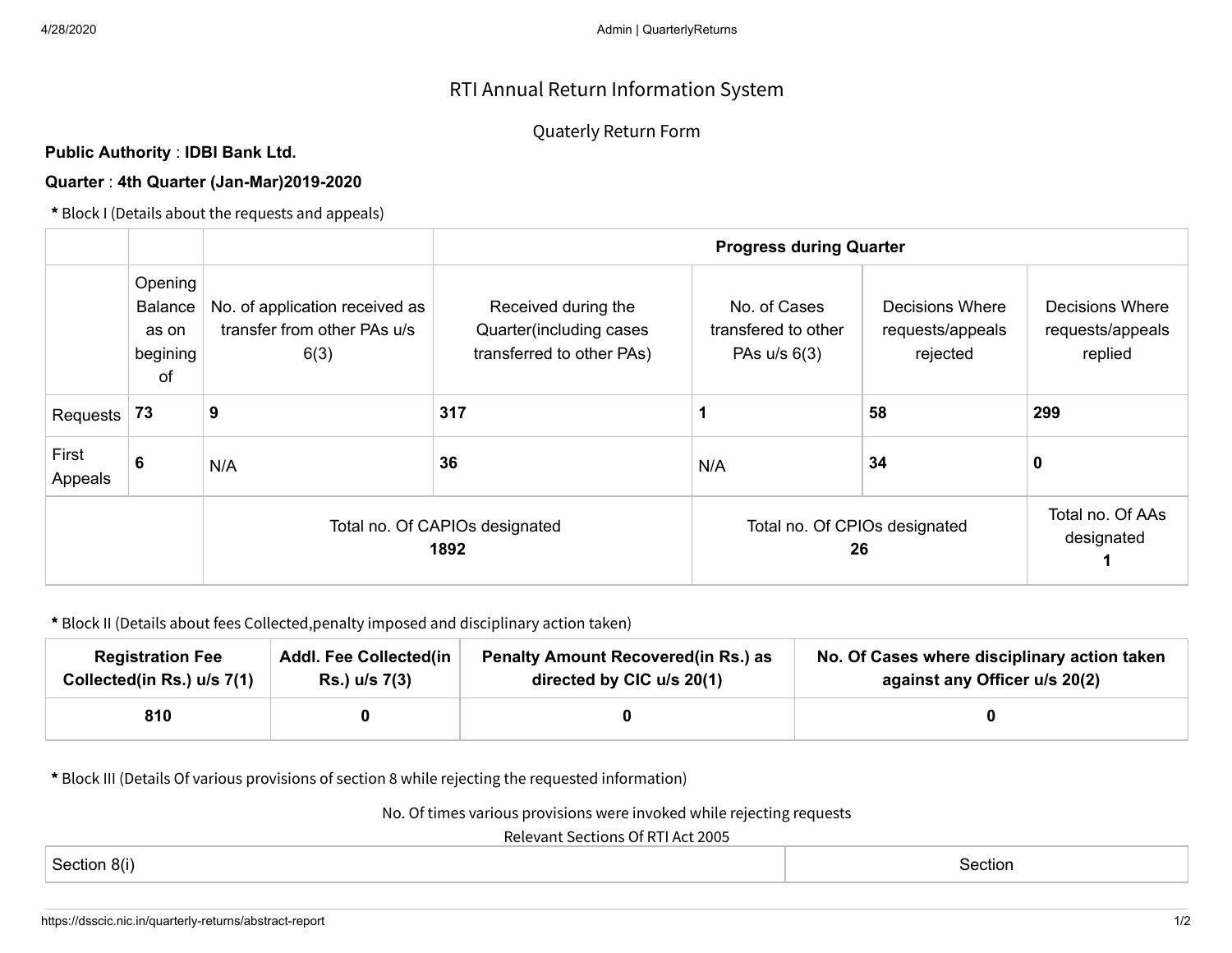## RTI Annual Return Information System

## Quaterly Return Form

## **Public Authority** : **IDBI Bank Ltd.**

## **Quarter** : **4th Quarter (Jan-Mar)2019-2020**

**\*** Block I (Details about the requests and appeals)

|                  |                                                             |                                                                       | <b>Progress during Quarter</b>                                              |                                                       |                                                        |                                                       |  |  |
|------------------|-------------------------------------------------------------|-----------------------------------------------------------------------|-----------------------------------------------------------------------------|-------------------------------------------------------|--------------------------------------------------------|-------------------------------------------------------|--|--|
|                  | Opening<br><b>Balance</b><br>as on<br>begining<br><b>of</b> | No. of application received as<br>transfer from other PAs u/s<br>6(3) | Received during the<br>Quarter(including cases<br>transferred to other PAs) | No. of Cases<br>transfered to other<br>PAs $u/s$ 6(3) | <b>Decisions Where</b><br>requests/appeals<br>rejected | <b>Decisions Where</b><br>requests/appeals<br>replied |  |  |
| Requests         | 73                                                          | 9                                                                     | 317                                                                         |                                                       | 58                                                     | 299                                                   |  |  |
| First<br>Appeals | 6                                                           | N/A                                                                   | 36                                                                          | N/A                                                   | 34                                                     | 0                                                     |  |  |
|                  |                                                             | Total no. Of CAPIOs designated<br>1892                                |                                                                             | Total no. Of CPIOs designated<br>26                   | Total no. Of AAs<br>designated                         |                                                       |  |  |

**\*** Block II (Details about fees Collected,penalty imposed and disciplinary action taken)

| <b>Registration Fee</b>    | <b>Addl. Fee Collected(in</b> | <b>Penalty Amount Recovered (in Rs.) as</b> | No. Of Cases where disciplinary action taken |  |  |  |
|----------------------------|-------------------------------|---------------------------------------------|----------------------------------------------|--|--|--|
| Collected(in Rs.) u/s 7(1) | Rs.) u/s 7(3)                 | directed by CIC u/s 20(1)                   | against any Officer u/s 20(2)                |  |  |  |
| 810                        |                               |                                             |                                              |  |  |  |

**\*** Block III (Details Of various provisions of section 8 while rejecting the requested information)

No. Of times various provisions were invoked while rejecting requests

Relevant Sections Of RTI Act 2005

| $\sim$ $\sim$<br>-80.<br>Section | Section<br>. |
|----------------------------------|--------------|
|----------------------------------|--------------|